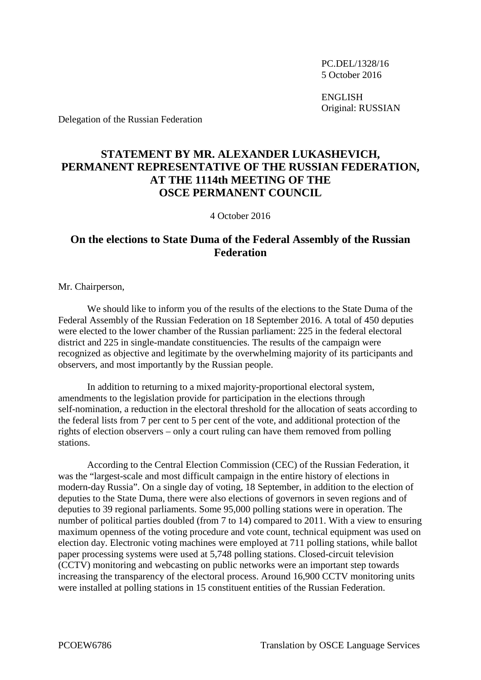PC.DEL/1328/16 5 October 2016

ENGLISH Original: RUSSIAN

Delegation of the Russian Federation

## **STATEMENT BY MR. ALEXANDER LUKASHEVICH, PERMANENT REPRESENTATIVE OF THE RUSSIAN FEDERATION, AT THE 1114th MEETING OF THE OSCE PERMANENT COUNCIL**

4 October 2016

## **On the elections to State Duma of the Federal Assembly of the Russian Federation**

Mr. Chairperson,

We should like to inform you of the results of the elections to the State Duma of the Federal Assembly of the Russian Federation on 18 September 2016. A total of 450 deputies were elected to the lower chamber of the Russian parliament: 225 in the federal electoral district and 225 in single-mandate constituencies. The results of the campaign were recognized as objective and legitimate by the overwhelming majority of its participants and observers, and most importantly by the Russian people.

In addition to returning to a mixed majority-proportional electoral system, amendments to the legislation provide for participation in the elections through self-nomination, a reduction in the electoral threshold for the allocation of seats according to the federal lists from 7 per cent to 5 per cent of the vote, and additional protection of the rights of election observers – only a court ruling can have them removed from polling stations.

According to the Central Election Commission (CEC) of the Russian Federation, it was the "largest-scale and most difficult campaign in the entire history of elections in modern-day Russia". On a single day of voting, 18 September, in addition to the election of deputies to the State Duma, there were also elections of governors in seven regions and of deputies to 39 regional parliaments. Some 95,000 polling stations were in operation. The number of political parties doubled (from 7 to 14) compared to 2011. With a view to ensuring maximum openness of the voting procedure and vote count, technical equipment was used on election day. Electronic voting machines were employed at 711 polling stations, while ballot paper processing systems were used at 5,748 polling stations. Closed-circuit television (CCTV) monitoring and webcasting on public networks were an important step towards increasing the transparency of the electoral process. Around 16,900 CCTV monitoring units were installed at polling stations in 15 constituent entities of the Russian Federation.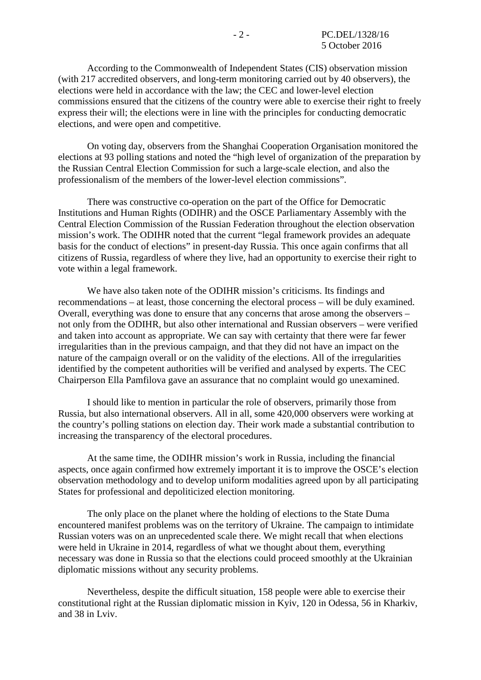According to the Commonwealth of Independent States (CIS) observation mission (with 217 accredited observers, and long-term monitoring carried out by 40 observers), the elections were held in accordance with the law; the CEC and lower-level election commissions ensured that the citizens of the country were able to exercise their right to freely express their will; the elections were in line with the principles for conducting democratic elections, and were open and competitive.

On voting day, observers from the Shanghai Cooperation Organisation monitored the elections at 93 polling stations and noted the "high level of organization of the preparation by the Russian Central Election Commission for such a large-scale election, and also the professionalism of the members of the lower-level election commissions".

There was constructive co-operation on the part of the Office for Democratic Institutions and Human Rights (ODIHR) and the OSCE Parliamentary Assembly with the Central Election Commission of the Russian Federation throughout the election observation mission's work. The ODIHR noted that the current "legal framework provides an adequate basis for the conduct of elections" in present-day Russia. This once again confirms that all citizens of Russia, regardless of where they live, had an opportunity to exercise their right to vote within a legal framework.

We have also taken note of the ODIHR mission's criticisms. Its findings and recommendations – at least, those concerning the electoral process – will be duly examined. Overall, everything was done to ensure that any concerns that arose among the observers – not only from the ODIHR, but also other international and Russian observers – were verified and taken into account as appropriate. We can say with certainty that there were far fewer irregularities than in the previous campaign, and that they did not have an impact on the nature of the campaign overall or on the validity of the elections. All of the irregularities identified by the competent authorities will be verified and analysed by experts. The CEC Chairperson Ella Pamfilova gave an assurance that no complaint would go unexamined.

I should like to mention in particular the role of observers, primarily those from Russia, but also international observers. All in all, some 420,000 observers were working at the country's polling stations on election day. Their work made a substantial contribution to increasing the transparency of the electoral procedures.

At the same time, the ODIHR mission's work in Russia, including the financial aspects, once again confirmed how extremely important it is to improve the OSCE's election observation methodology and to develop uniform modalities agreed upon by all participating States for professional and depoliticized election monitoring.

The only place on the planet where the holding of elections to the State Duma encountered manifest problems was on the territory of Ukraine. The campaign to intimidate Russian voters was on an unprecedented scale there. We might recall that when elections were held in Ukraine in 2014, regardless of what we thought about them, everything necessary was done in Russia so that the elections could proceed smoothly at the Ukrainian diplomatic missions without any security problems.

Nevertheless, despite the difficult situation, 158 people were able to exercise their constitutional right at the Russian diplomatic mission in Kyiv, 120 in Odessa, 56 in Kharkiv, and 38 in Lviv.